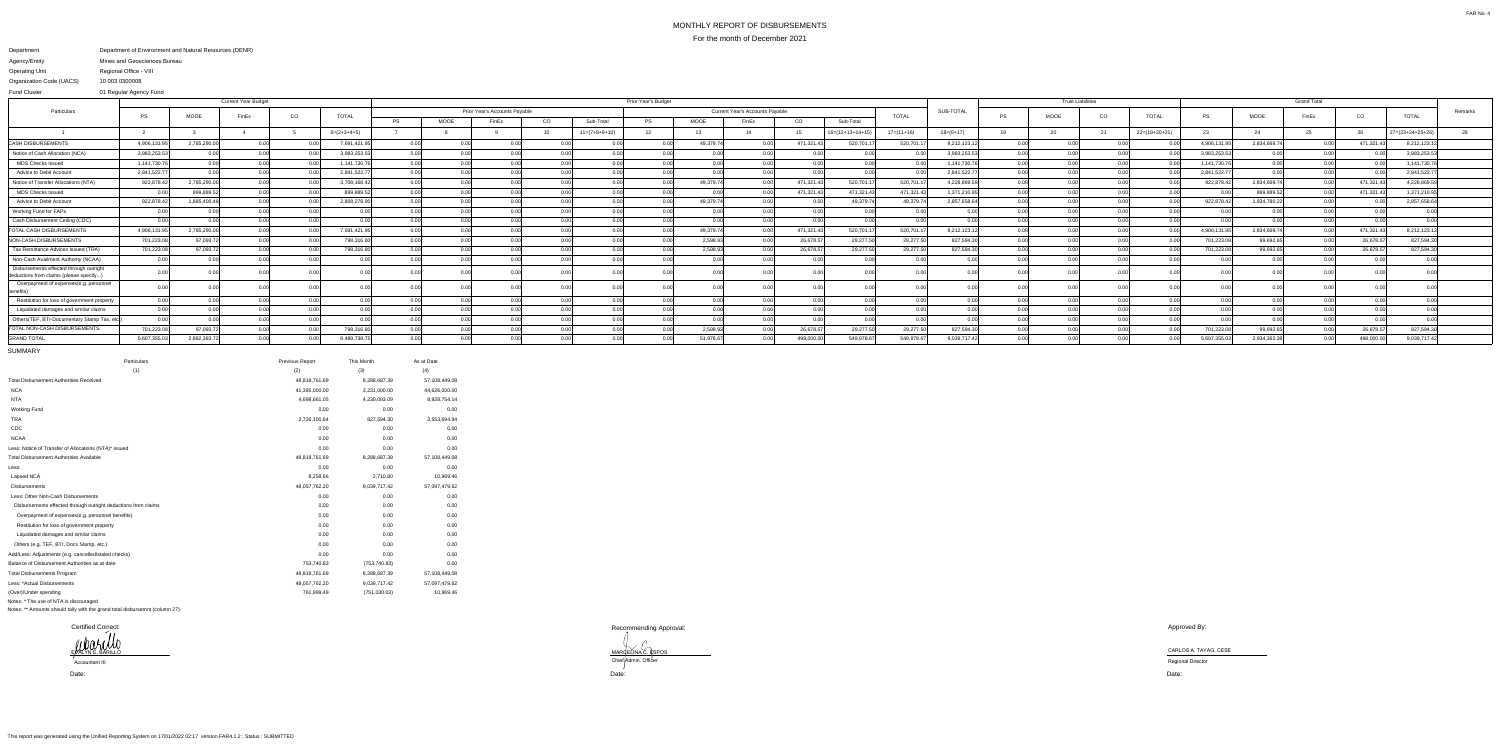## MONTHLY REPORT OF DISBURSEMENTSFor the month of December 2021

## Department Agency/EntityOperating Unit Organization Code (UACS) Department of Environment and Natural Resources (DENR) Mines and Geosciences BureauRegional Office - VIII10 003 0300008

 01 Regular Agency FundFund Cluster

|                                                                                    |              |             | <b>Current Year Budget</b> |       |               |           | Prior Year's Budget           |       |    |                 |                                                        |             |                |            |                            |              |              | <b>Trust Liabilities</b> |      |                | <b>Grand Total</b> |             |              |       |               |                    |         |
|------------------------------------------------------------------------------------|--------------|-------------|----------------------------|-------|---------------|-----------|-------------------------------|-------|----|-----------------|--------------------------------------------------------|-------------|----------------|------------|----------------------------|--------------|--------------|--------------------------|------|----------------|--------------------|-------------|--------------|-------|---------------|--------------------|---------|
| Particulars                                                                        | <b>PS</b>    | MOOE        | FinEx                      | CO    | <b>TOTAL</b>  |           | Prior Year's Accounts Payable |       |    |                 | <b>Current Year's Accounts Payable</b><br><b>TOTAL</b> |             |                |            |                            |              | SUB-TOTAI    | PS                       | MOOE | $_{\rm CO}$    | <b>TOTAL</b>       | <b>PS</b>   | MOOE         | FinEx | CO            | <b>TOTAL</b>       | Remarks |
|                                                                                    |              |             |                            |       |               | <b>PS</b> | MOOE                          | FinEx | CO | Sub-Total       | <b>PS</b>                                              | <b>MOOE</b> | FinEx          | CO         | Sub-Total                  |              |              |                          |      |                |                    |             |              |       |               |                    |         |
|                                                                                    |              |             |                            |       | $6=(2+3+4+5)$ |           |                               |       |    | $11=(7+8+9+10)$ | 12                                                     | -13         |                |            | $16 = (12 + 13 + 14 + 19)$ | $17=(11+16)$ | $18=(6+17)$  | 19                       |      |                | $22=(19+20+21)$    | 23          |              |       | 26            | $27=(23+24+25+26)$ |         |
| <b>CASH DISBURSEMENTS</b>                                                          | 4,906,131.9  | 2,785,290.  | n nn                       | n nn  | 7,691,421.9   | 0.00      |                               |       |    |                 |                                                        | 49,379.74   |                | 471,321.43 | 520,701.                   | 520,701.     | 8,212,123.1  |                          |      |                |                    | 4,906,131   | 2,834,669.7  | 0.00  | 471,321.43    | 8,212,123.1        |         |
| Notice of Cash Allocation (NCA)                                                    | 3,983,253.53 | 0.00        |                            |       | 3,983,253.53  | 0.00      |                               |       |    |                 |                                                        | 0.00        |                |            |                            |              | 3,983,253.53 |                          |      |                |                    | 3,983,253.5 | 0.00         | 0.00  |               | 3,983,253.53       |         |
| <b>MDS Checks Issued</b>                                                           | 1,141,730.76 | 0.00        |                            |       | 1,141,730.76  | 0.00      |                               |       |    | 0.00            |                                                        | 0.00        | 0 <sub>0</sub> | 0.00       |                            | n nr         | 1.141.730.76 |                          |      | n nr           | 0.00               | 1.141.730.  | 0.00         | 0.00  |               | 1,141,730.7        |         |
| Advice to Debit Account                                                            | 2,841,522.77 |             | 0.001                      | 0.00  | 2,841,522.77  |           | 0.00                          |       |    | 0.00            |                                                        | 0.00        | 0.00           | 0.00       |                            |              | 2,841,522.77 |                          |      |                |                    | 2,841,522.7 | $0.00\,$     | 0.00  |               | 2,841,522.7        |         |
| Notice of Transfer Allocations (NTA)                                               | 922,878.42   | 2,785,290.  |                            | 0 U U | 3,708,168.42  |           | 0.00                          |       |    |                 |                                                        | 49,379.74   |                | 471,321.43 | 520,701.1                  | 520,701.17   | 4,228,869.59 |                          |      |                |                    | 922,878.4   | 2,834,669.74 | 0.00  | 471,321.43    | 4.228.869.5        |         |
| <b>MDS Checks Issued</b>                                                           | 0.0          | 899,889.    | n nn                       | 0.00  | 899,889.5     |           | 0.00                          |       |    |                 |                                                        | 0.00        |                | 471,321.43 | 471,321.43                 | 471,321.4    | 1,371,210.95 |                          |      |                |                    |             | 899,889.52   | 0.00  | 471,321.43    | 1,371,210.95       |         |
| Advice to Debit Accoun                                                             | 922,878.42   | 1,885,400.4 | n nn                       | 0.00  | 2,808,278.90  |           | 0.00                          |       |    |                 |                                                        | 49,379.74   |                |            | 49,379.7                   | 49,379.7     | 2,857,658.64 |                          |      | 0.00           |                    | 922,878.42  | 1,934,780.22 | 0.00  |               | 2,857,658.64       |         |
| Working Fund for FAPs                                                              | 0.00         |             | 0.00                       | 0.00  |               | 0.00      | 0.00                          |       |    | 0.00            | n nr                                                   | 0.00        |                | 0.00       |                            | n nr         | 0.00         |                          |      | 0.00           |                    |             | 0.00         | 0.00  |               |                    |         |
| Cash Disbursement Ceiling (CDC)                                                    | 0.00         |             | 0.00                       |       |               |           | 0.00                          |       |    |                 |                                                        | 0.00        |                | 0.00       |                            | n nr         | 0.00         |                          |      |                |                    |             | 0.00         | 0.00  | n nr          |                    |         |
| TOTAL CASH DISBURSEMENTS                                                           | 4,906,131.9  | 2,785,290.0 |                            |       | 7,691,421.95  |           | 0.00                          |       |    | _റ റ            |                                                        | 49,379.74   |                | 471,321.43 | 520,701.1                  | 520,701.1    | 8,212,123.12 |                          |      |                |                    | 4,906,131   | 2,834,669.74 | 0.00  | 471,321.4     | 8,212,123.12       |         |
| NON-CASH DISBURSEMENTS                                                             | 701,223.08   | 97,093.7    |                            |       | 798,316.80    | 0.00      |                               |       |    |                 |                                                        | 2,598.93    |                | 26,678.5   | 29,277.5                   | 29,277.5     | 827,594.30   |                          |      |                |                    | 701,223.    | 99,692.6     | 0.00  | 26,678.5      | 827,594.3          |         |
| Tax Remittance Advices Issued (TRA)                                                | 701,223.08   | 97,093.7    |                            | 0.00  | 798,316.80    |           | 0.00                          |       |    | $\cap$ $\cap$   |                                                        | 2,598.93    |                | 26,678.57  | 29,277.5                   | 29,277.5     | 827.594.30   |                          |      | 0.00           |                    | 701,223.0   | 99,692.6     |       | 26,678.57     | 827,594.3          |         |
| Non-Cash Availment Authority (NCAA)                                                | 0.00         |             |                            | n nn  |               | 0.00      | 0.00                          |       |    | റ ററ            |                                                        | 0.00        | $\cap$ $\cap$  |            |                            | 0.00         | 0.00         |                          |      | 0.00           |                    |             | n nnl        | 0.00  | <u>በ በበ</u>   | 0.00               |         |
| Disbursements effected through outright<br>deductions from claims (please specify. |              |             |                            |       |               |           | 0.001                         |       |    |                 |                                                        | 0.00        |                |            |                            |              |              |                          |      |                |                    |             |              |       |               |                    |         |
| Overpayment of expenses(e.g. personnel                                             |              |             |                            |       |               | 0.00      |                               |       |    |                 |                                                        | 0.00        |                |            |                            |              |              |                          |      |                |                    |             |              |       |               |                    |         |
| Restitution for loss of government property                                        | 0.00         |             |                            |       |               | 0.00l     | 0.00                          |       |    | 0.00            |                                                        | 0.00        |                |            |                            | n oc         |              |                          |      | 0.00           |                    |             | 0.00         |       |               | 0.00               |         |
| Liquidated damages and similar claims                                              | 0.00         |             |                            |       |               | 0.00      |                               |       |    | 0.00            |                                                        | 0.00        | 0.00           | 0.00       |                            | 0.00         | 0.00         |                          |      | n nr           |                    |             | 0.00         |       | $\cap$ $\cap$ | 0.00               |         |
| Others(TEF, BTr-Documentary Stamp Tax, etc                                         |              |             |                            |       |               | 0.00      |                               |       |    |                 |                                                        | 0.00        |                | 0.00       |                            | 0.00         | 0.00         |                          |      | 0 <sub>0</sub> |                    |             | n nnl        | 0.00  |               | 0.00               |         |
| <b>TOTAL NON-CASH DISBURSEMENTS</b>                                                | 701,223.08   | 97,093.7    |                            | 0.00  | 798,316.80    |           | 0.00                          |       |    |                 |                                                        | 2,598.93    |                | 26,678.57  | 29,277.5                   | 29,277.50    | 827,594.30   |                          |      | 0.00           |                    | 701,223.    | 99,692.65    | 0.00  | 26,678.57     | 827,594.3          |         |
| <b>GRAND TOTAL</b>                                                                 | 5,607,355.03 | 2,882,383.7 | n nn                       | 0.00  | 8,489,738.75  |           | 0.00                          |       |    |                 |                                                        | 51,978.67   |                | 498,000.00 | 549,978.67                 | 549,978.67   | 9,039,717.42 |                          |      | 0.00           |                    | 5,607,355.  | 2,934,362.39 | 0.00  | 498,000.0     | 9,039,717.42       |         |
|                                                                                    |              |             |                            |       |               |           |                               |       |    |                 |                                                        |             |                |            |                            |              |              |                          |      |                |                    |             |              |       |               |                    |         |

Certified Correct:EVALYNE BARILLO

SUMMARY

| Particulars                                                    | Previous Report | This Month    | As at Date    |
|----------------------------------------------------------------|-----------------|---------------|---------------|
| (1)                                                            | (2)             | (3)           | (4)           |
| <b>Total Disbursement Authorities Received</b>                 | 48,819,761.69   | 8,288,687.39  | 57,108,449.08 |
| <b>NCA</b>                                                     | 41,395,000.00   | 3,231,000.00  | 44,626,000.00 |
| <b>NTA</b>                                                     | 4,698,661.05    | 4,230,093.09  | 8,928,754.14  |
| <b>Working Fund</b>                                            | 0.00            | 0.00          | 0.00          |
| <b>TRA</b>                                                     | 2,726,100.64    | 827,594.30    | 3,553,694.94  |
| CDC                                                            | 0.00            | 0.00          | 0.00          |
| <b>NCAA</b>                                                    | 0.00            | 0.00          | 0.00          |
| Less: Notice of Transfer of Allocations (NTA)* issued          | 0.00            | 0.00          | 0.00          |
| <b>Total Disbursement Authorities Available</b>                | 48,819,761.69   | 8,288,687.39  | 57,108,449.08 |
| Less:                                                          | 0.00            | 0.00          | 0.00          |
| Lapsed NCA                                                     | 8,258.66        | 2,710.80      | 10,969.46     |
| <b>Disbursements</b>                                           | 48,057,762.20   | 9,039,717.42  | 57,097,479.62 |
| Less: Other Non-Cash Disbursements                             | 0.00            | 0.00          | 0.00          |
| Disbursements effected through outright deductions from claims | 0.00            | 0.00          | 0.00          |
| Overpayment of expenses(e.g. personnel benefits)               | 0.00            | 0.00          | 0.00          |
| Restitution for loss of government property                    | 0.00            | 0.00          | 0.00          |
| Liquidated damages and similar claims                          | 0.00            | 0.00          | 0.00          |
| Others (e.g. TEF, BTr, Docs Stamp, etc.)                       | 0.00            | 0.00          | 0.00          |
| Add/Less: Adjustments (e.g. cancelled/staled checks)           | 0.00            | 0.00          | 0.00          |
| Balance of Disbursement Authorities as at date                 | 753,740.83      | (753, 740.83) | 0.00          |
| <b>Total Disbursements Program</b>                             | 48,819,761.69   | 8,288,687.39  | 57,108,449.08 |
| Less: *Actual Disbursements                                    | 48,057,762.20   | 9,039,717.42  | 57,097,479.62 |
| (Over)/Under spending                                          | 761,999.49      | (751,030.03)  | 10,969.46     |
| Notes: * The use of NTA is discouraged                         |                 |               |               |

Notes: \*\* Amounts should tally with the grand total disbursemnt (column 27).

Recommending Approval:

MARCELINA C. ESPOS CARLOS A. TAYAG, CESE CARLOS A. TAYAG, CESE CARLOS A. TAYAG, CESE CHIEF Admin. Officer CHIEF Admin. Officer Regional Director

Approved By:

Date: Date:

Date:Accountant III